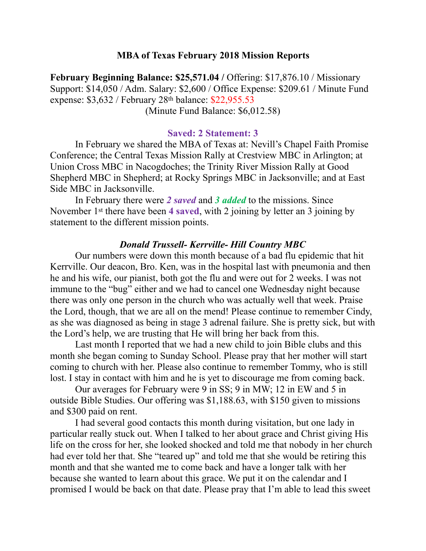### **MBA of Texas February 2018 Mission Reports**

**February Beginning Balance: \$25,571.04 /** Offering: \$17,876.10 / Missionary Support: \$14,050 / Adm. Salary: \$2,600 / Office Expense: \$209.61 / Minute Fund expense: \$3,632 / February 28th balance: \$22,955.53 (Minute Fund Balance: \$6,012.58)

### **Saved: 2 Statement: 3**

In February we shared the MBA of Texas at: Nevill's Chapel Faith Promise Conference; the Central Texas Mission Rally at Crestview MBC in Arlington; at Union Cross MBC in Nacogdoches; the Trinity River Mission Rally at Good Shepherd MBC in Shepherd; at Rocky Springs MBC in Jacksonville; and at East Side MBC in Jacksonville.

 In February there were *2 saved* and *3 added* to the missions. Since November 1st there have been **4 saved**, with 2 joining by letter an 3 joining by statement to the different mission points.

### *Donald Trussell- Kerrville- Hill Country MBC*

 Our numbers were down this month because of a bad flu epidemic that hit Kerrville. Our deacon, Bro. Ken, was in the hospital last with pneumonia and then he and his wife, our pianist, both got the flu and were out for 2 weeks. I was not immune to the "bug" either and we had to cancel one Wednesday night because there was only one person in the church who was actually well that week. Praise the Lord, though, that we are all on the mend! Please continue to remember Cindy, as she was diagnosed as being in stage 3 adrenal failure. She is pretty sick, but with the Lord's help, we are trusting that He will bring her back from this.

 Last month I reported that we had a new child to join Bible clubs and this month she began coming to Sunday School. Please pray that her mother will start coming to church with her. Please also continue to remember Tommy, who is still lost. I stay in contact with him and he is yet to discourage me from coming back.

 Our averages for February were 9 in SS; 9 in MW; 12 in EW and 5 in outside Bible Studies. Our offering was \$1,188.63, with \$150 given to missions and \$300 paid on rent.

 I had several good contacts this month during visitation, but one lady in particular really stuck out. When I talked to her about grace and Christ giving His life on the cross for her, she looked shocked and told me that nobody in her church had ever told her that. She "teared up" and told me that she would be retiring this month and that she wanted me to come back and have a longer talk with her because she wanted to learn about this grace. We put it on the calendar and I promised I would be back on that date. Please pray that I'm able to lead this sweet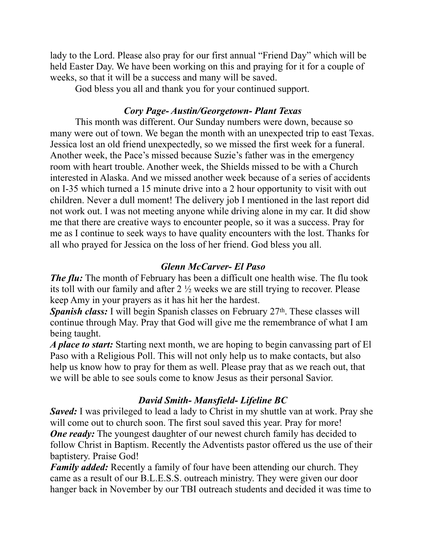lady to the Lord. Please also pray for our first annual "Friend Day" which will be held Easter Day. We have been working on this and praying for it for a couple of weeks, so that it will be a success and many will be saved.

God bless you all and thank you for your continued support.

# *Cory Page- Austin/Georgetown- Plant Texas*

 This month was different. Our Sunday numbers were down, because so many were out of town. We began the month with an unexpected trip to east Texas. Jessica lost an old friend unexpectedly, so we missed the first week for a funeral. Another week, the Pace's missed because Suzie's father was in the emergency room with heart trouble. Another week, the Shields missed to be with a Church interested in Alaska. And we missed another week because of a series of accidents on I-35 which turned a 15 minute drive into a 2 hour opportunity to visit with out children. Never a dull moment! The delivery job I mentioned in the last report did not work out. I was not meeting anyone while driving alone in my car. It did show me that there are creative ways to encounter people, so it was a success. Pray for me as I continue to seek ways to have quality encounters with the lost. Thanks for all who prayed for Jessica on the loss of her friend. God bless you all.

## *Glenn McCarver- El Paso*

*The flu:* The month of February has been a difficult one health wise. The flu took its toll with our family and after 2 ½ weeks we are still trying to recover. Please keep Amy in your prayers as it has hit her the hardest.

**Spanish class:** I will begin Spanish classes on February 27<sup>th</sup>. These classes will continue through May. Pray that God will give me the remembrance of what I am being taught.

*A place to start:* Starting next month, we are hoping to begin canvassing part of El Paso with a Religious Poll. This will not only help us to make contacts, but also help us know how to pray for them as well. Please pray that as we reach out, that we will be able to see souls come to know Jesus as their personal Savior.

# *David Smith- Mansfield- Lifeline BC*

*Saved:* I was privileged to lead a lady to Christ in my shuttle van at work. Pray she will come out to church soon. The first soul saved this year. Pray for more! *One ready:* The youngest daughter of our newest church family has decided to follow Christ in Baptism. Recently the Adventists pastor offered us the use of their baptistery. Praise God!

*Family added:* Recently a family of four have been attending our church. They came as a result of our B.L.E.S.S. outreach ministry. They were given our door hanger back in November by our TBI outreach students and decided it was time to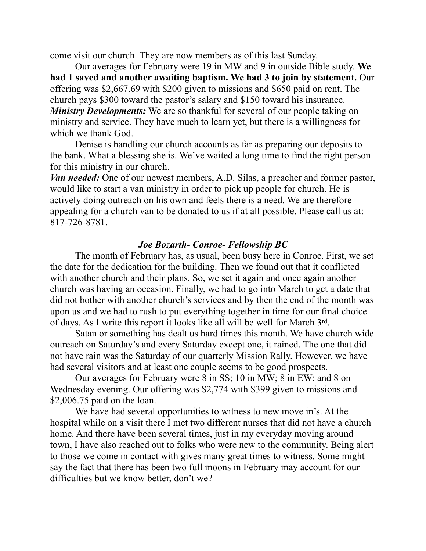come visit our church. They are now members as of this last Sunday.

 Our averages for February were 19 in MW and 9 in outside Bible study. **We had 1 saved and another awaiting baptism. We had 3 to join by statement.** Our offering was \$2,667.69 with \$200 given to missions and \$650 paid on rent. The church pays \$300 toward the pastor's salary and \$150 toward his insurance. *Ministry Developments:* We are so thankful for several of our people taking on ministry and service. They have much to learn yet, but there is a willingness for which we thank God.

 Denise is handling our church accounts as far as preparing our deposits to the bank. What a blessing she is. We've waited a long time to find the right person for this ministry in our church.

*Van needed:* One of our newest members, A.D. Silas, a preacher and former pastor, would like to start a van ministry in order to pick up people for church. He is actively doing outreach on his own and feels there is a need. We are therefore appealing for a church van to be donated to us if at all possible. Please call us at: 817-726-8781.

### *Joe Bozarth- Conroe- Fellowship BC*

 The month of February has, as usual, been busy here in Conroe. First, we set the date for the dedication for the building. Then we found out that it conflicted with another church and their plans. So, we set it again and once again another church was having an occasion. Finally, we had to go into March to get a date that did not bother with another church's services and by then the end of the month was upon us and we had to rush to put everything together in time for our final choice of days. As I write this report it looks like all will be well for March 3rd.

 Satan or something has dealt us hard times this month. We have church wide outreach on Saturday's and every Saturday except one, it rained. The one that did not have rain was the Saturday of our quarterly Mission Rally. However, we have had several visitors and at least one couple seems to be good prospects.

Our averages for February were 8 in SS; 10 in MW; 8 in EW; and 8 on Wednesday evening. Our offering was \$2,774 with \$399 given to missions and \$2,006.75 paid on the loan.

We have had several opportunities to witness to new move in's. At the hospital while on a visit there I met two different nurses that did not have a church home. And there have been several times, just in my everyday moving around town, I have also reached out to folks who were new to the community. Being alert to those we come in contact with gives many great times to witness. Some might say the fact that there has been two full moons in February may account for our difficulties but we know better, don't we?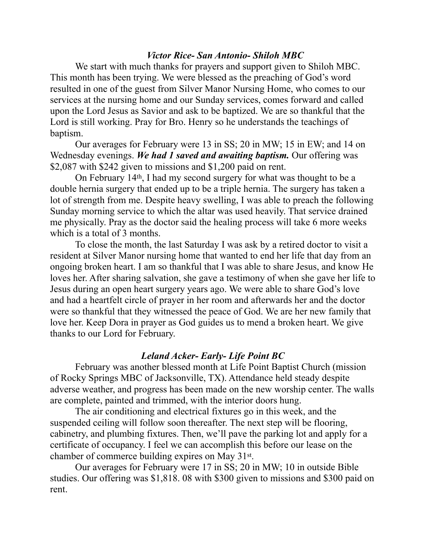## *Victor Rice- San Antonio- Shiloh MBC*

We start with much thanks for prayers and support given to Shiloh MBC. This month has been trying. We were blessed as the preaching of God's word resulted in one of the guest from Silver Manor Nursing Home, who comes to our services at the nursing home and our Sunday services, comes forward and called upon the Lord Jesus as Savior and ask to be baptized. We are so thankful that the Lord is still working. Pray for Bro. Henry so he understands the teachings of baptism.

Our averages for February were 13 in SS; 20 in MW; 15 in EW; and 14 on Wednesday evenings. *We had 1 saved and awaiting baptism.* Our offering was \$2,087 with \$242 given to missions and \$1,200 paid on rent.

On February 14th, I had my second surgery for what was thought to be a double hernia surgery that ended up to be a triple hernia. The surgery has taken a lot of strength from me. Despite heavy swelling, I was able to preach the following Sunday morning service to which the altar was used heavily. That service drained me physically. Pray as the doctor said the healing process will take 6 more weeks which is a total of 3 months.

To close the month, the last Saturday I was ask by a retired doctor to visit a resident at Silver Manor nursing home that wanted to end her life that day from an ongoing broken heart. I am so thankful that I was able to share Jesus, and know He loves her. After sharing salvation, she gave a testimony of when she gave her life to Jesus during an open heart surgery years ago. We were able to share God's love and had a heartfelt circle of prayer in her room and afterwards her and the doctor were so thankful that they witnessed the peace of God. We are her new family that love her. Keep Dora in prayer as God guides us to mend a broken heart. We give thanks to our Lord for February.

### *Leland Acker- Early- Life Point BC*

 February was another blessed month at Life Point Baptist Church (mission of Rocky Springs MBC of Jacksonville, TX). Attendance held steady despite adverse weather, and progress has been made on the new worship center. The walls are complete, painted and trimmed, with the interior doors hung.

 The air conditioning and electrical fixtures go in this week, and the suspended ceiling will follow soon thereafter. The next step will be flooring, cabinetry, and plumbing fixtures. Then, we'll pave the parking lot and apply for a certificate of occupancy. I feel we can accomplish this before our lease on the chamber of commerce building expires on May 31st.

 Our averages for February were 17 in SS; 20 in MW; 10 in outside Bible studies. Our offering was \$1,818. 08 with \$300 given to missions and \$300 paid on rent.